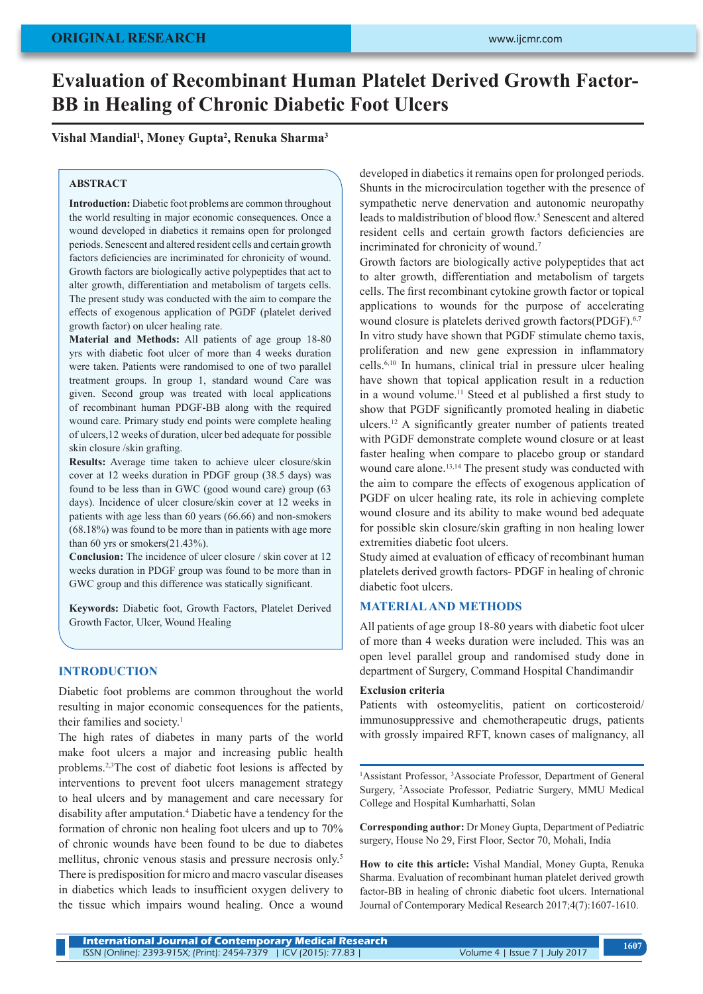# **Evaluation of Recombinant Human Platelet Derived Growth Factor-BB in Healing of Chronic Diabetic Foot Ulcers**

# **Vishal Mandial1 , Money Gupta2 , Renuka Sharma3**

# **ABSTRACT**

**Introduction:** Diabetic foot problems are common throughout the world resulting in major economic consequences. Once a wound developed in diabetics it remains open for prolonged periods. Senescent and altered resident cells and certain growth factors deficiencies are incriminated for chronicity of wound. Growth factors are biologically active polypeptides that act to alter growth, differentiation and metabolism of targets cells. The present study was conducted with the aim to compare the effects of exogenous application of PGDF (platelet derived growth factor) on ulcer healing rate.

**Material and Methods:** All patients of age group 18-80 yrs with diabetic foot ulcer of more than 4 weeks duration were taken. Patients were randomised to one of two parallel treatment groups. In group 1, standard wound Care was given. Second group was treated with local applications of recombinant human PDGF-BB along with the required wound care. Primary study end points were complete healing of ulcers,12 weeks of duration, ulcer bed adequate for possible skin closure /skin grafting.

**Results:** Average time taken to achieve ulcer closure/skin cover at 12 weeks duration in PDGF group (38.5 days) was found to be less than in GWC (good wound care) group (63 days). Incidence of ulcer closure/skin cover at 12 weeks in patients with age less than 60 years (66.66) and non-smokers (68.18%) was found to be more than in patients with age more than 60 yrs or smokers(21.43%).

**Conclusion:** The incidence of ulcer closure / skin cover at 12 weeks duration in PDGF group was found to be more than in GWC group and this difference was statically significant.

**Keywords:** Diabetic foot, Growth Factors, Platelet Derived Growth Factor, Ulcer, Wound Healing

## **INTRODUCTION**

Diabetic foot problems are common throughout the world resulting in major economic consequences for the patients, their families and society.<sup>1</sup>

The high rates of diabetes in many parts of the world make foot ulcers a major and increasing public health problems.2,3The cost of diabetic foot lesions is affected by interventions to prevent foot ulcers management strategy to heal ulcers and by management and care necessary for disability after amputation.4 Diabetic have a tendency for the formation of chronic non healing foot ulcers and up to 70% of chronic wounds have been found to be due to diabetes mellitus, chronic venous stasis and pressure necrosis only.<sup>5</sup> There is predisposition for micro and macro vascular diseases in diabetics which leads to insufficient oxygen delivery to the tissue which impairs wound healing. Once a wound

developed in diabetics it remains open for prolonged periods. Shunts in the microcirculation together with the presence of sympathetic nerve denervation and autonomic neuropathy leads to maldistribution of blood flow.<sup>5</sup> Senescent and altered resident cells and certain growth factors deficiencies are incriminated for chronicity of wound.<sup>7</sup>

Growth factors are biologically active polypeptides that act to alter growth, differentiation and metabolism of targets cells. The first recombinant cytokine growth factor or topical applications to wounds for the purpose of accelerating wound closure is platelets derived growth factors(PDGF).<sup>6,7</sup> In vitro study have shown that PGDF stimulate chemo taxis, proliferation and new gene expression in inflammatory cells.6,10 In humans, clinical trial in pressure ulcer healing have shown that topical application result in a reduction in a wound volume.<sup>11</sup> Steed et al published a first study to show that PGDF significantly promoted healing in diabetic ulcers.12 A significantly greater number of patients treated with PGDF demonstrate complete wound closure or at least faster healing when compare to placebo group or standard wound care alone.<sup>13,14</sup> The present study was conducted with the aim to compare the effects of exogenous application of PGDF on ulcer healing rate, its role in achieving complete wound closure and its ability to make wound bed adequate for possible skin closure/skin grafting in non healing lower extremities diabetic foot ulcers.

Study aimed at evaluation of efficacy of recombinant human platelets derived growth factors- PDGF in healing of chronic diabetic foot ulcers.

## **MATERIAL AND METHODS**

All patients of age group 18-80 years with diabetic foot ulcer of more than 4 weeks duration were included. This was an open level parallel group and randomised study done in department of Surgery, Command Hospital Chandimandir

#### **Exclusion criteria**

Patients with osteomyelitis, patient on corticosteroid/ immunosuppressive and chemotherapeutic drugs, patients with grossly impaired RFT, known cases of malignancy, all

<sup>1</sup>Assistant Professor, <sup>3</sup>Associate Professor, Department of General Surgery, <sup>2</sup> Associate Professor, Pediatric Surgery, MMU Medical College and Hospital Kumharhatti, Solan

**Corresponding author:** Dr Money Gupta, Department of Pediatric surgery, House No 29, First Floor, Sector 70, Mohali, India

**How to cite this article:** Vishal Mandial, Money Gupta, Renuka Sharma. Evaluation of recombinant human platelet derived growth factor-BB in healing of chronic diabetic foot ulcers. International Journal of Contemporary Medical Research 2017;4(7):1607-1610.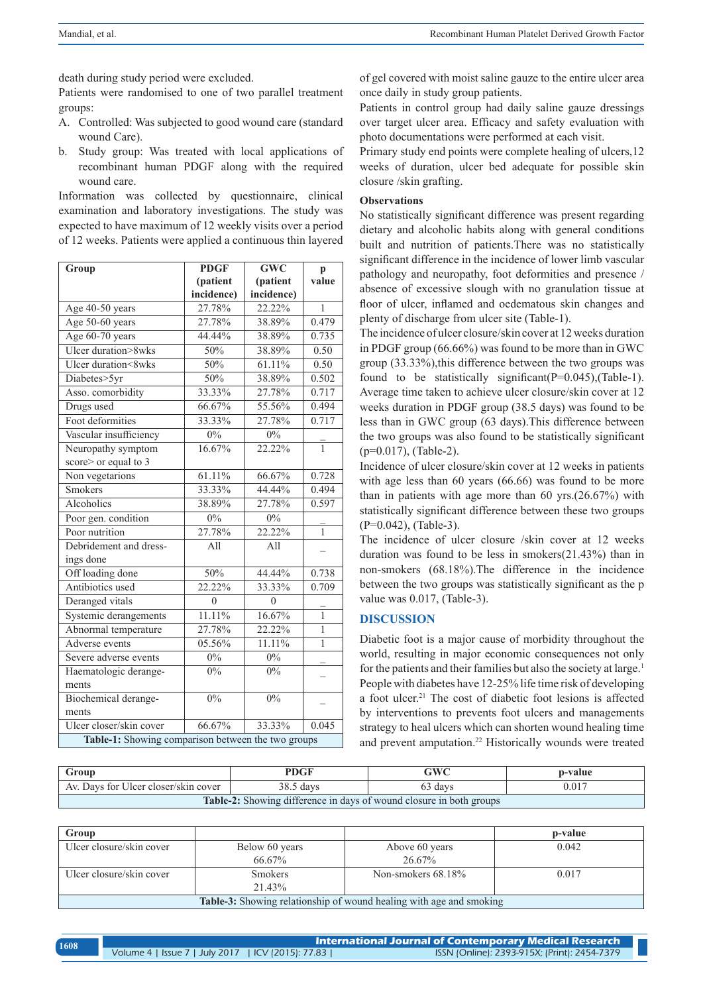death during study period were excluded.

Patients were randomised to one of two parallel treatment groups:

- A. Controlled: Was subjected to good wound care (standard wound Care).
- b. Study group: Was treated with local applications of recombinant human PDGF along with the required wound care.

Information was collected by questionnaire, clinical examination and laboratory investigations. The study was expected to have maximum of 12 weekly visits over a period of 12 weeks. Patients were applied a continuous thin layered

| Group                                              | <b>PDGF</b> | <b>GWC</b> | $\mathbf{p}$ |
|----------------------------------------------------|-------------|------------|--------------|
|                                                    | (patient    | (patient   | value        |
|                                                    | incidence)  | incidence) |              |
| Age 40-50 years                                    | 27.78%      | 22.22%     | $\mathbf{1}$ |
| Age 50-60 years                                    | 27.78%      | 38.89%     | 0.479        |
| Age 60-70 years                                    | 44.44%      | 38.89%     | 0.735        |
| Ulcer duration>8wks                                | 50%         | 38.89%     | 0.50         |
| Ulcer duration<8wks                                | 50%         | 61.11%     | 0.50         |
| Diabetes>5yr                                       | 50%         | 38.89%     | 0.502        |
| Asso. comorbidity                                  | 33.33%      | 27.78%     | 0.717        |
| Drugs used                                         | 66.67%      | 55.56%     | 0.494        |
| Foot deformities                                   | 33.33%      | 27.78%     | 0.717        |
| Vascular insufficiency                             | $0\%$       | 0%         |              |
| Neuropathy symptom                                 | 16.67%      | 22.22%     | $\mathbf{1}$ |
| score> or equal to 3                               |             |            |              |
| Non vegetarions                                    | 61.11%      | 66.67%     | 0.728        |
| <b>Smokers</b>                                     | 33.33%      | 44.44%     | 0.494        |
| Alcoholics                                         | 38.89%      | 27.78%     | 0.597        |
| Poor gen. condition                                | 0%          | $0\%$      |              |
| Poor nutrition                                     | 27.78%      | 22.22%     | $\mathbf{1}$ |
| Debridement and dress-                             | All         | All        |              |
| ings done                                          |             |            |              |
| Off loading done                                   | 50%         | 44.44%     | 0.738        |
| Antibiotics used                                   | 22.22%      | 33.33%     | 0.709        |
| Deranged vitals                                    | $\theta$    | $\theta$   |              |
| Systemic derangements                              | 11.11%      | 16.67%     | $\mathbf{1}$ |
| Abnormal temperature                               | 27.78%      | 22.22%     | 1            |
| Adverse events                                     | 05.56%      | 11.11%     | 1            |
| Severe adverse events                              | 0%          | 0%         |              |
| Haematologic derange-                              | $0\%$       | $0\%$      |              |
| ments                                              |             |            |              |
| Biochemical derange-                               | 0%          | $0\%$      |              |
| ments                                              |             |            |              |
| Ulcer closer/skin cover                            | 66.67%      | 33.33%     | 0.045        |
| Table-1: Showing comparison between the two groups |             |            |              |

of gel covered with moist saline gauze to the entire ulcer area once daily in study group patients.

Patients in control group had daily saline gauze dressings over target ulcer area. Efficacy and safety evaluation with photo documentations were performed at each visit.

Primary study end points were complete healing of ulcers,12 weeks of duration, ulcer bed adequate for possible skin closure /skin grafting.

## **Observations**

No statistically significant difference was present regarding dietary and alcoholic habits along with general conditions built and nutrition of patients.There was no statistically significant difference in the incidence of lower limb vascular pathology and neuropathy, foot deformities and presence / absence of excessive slough with no granulation tissue at floor of ulcer, inflamed and oedematous skin changes and plenty of discharge from ulcer site (Table-1).

The incidence of ulcer closure/skin cover at 12 weeks duration in PDGF group (66.66%) was found to be more than in GWC group (33.33%),this difference between the two groups was found to be statistically significant  $(P=0.045)$ ,  $Table-1$ . Average time taken to achieve ulcer closure/skin cover at 12 weeks duration in PDGF group (38.5 days) was found to be less than in GWC group (63 days).This difference between the two groups was also found to be statistically significant (p=0.017), (Table-2).

Incidence of ulcer closure/skin cover at 12 weeks in patients with age less than 60 years (66.66) was found to be more than in patients with age more than 60 yrs.(26.67%) with statistically significant difference between these two groups (P=0.042), (Table-3).

The incidence of ulcer closure /skin cover at 12 weeks duration was found to be less in smokers(21.43%) than in non-smokers (68.18%).The difference in the incidence between the two groups was statistically significant as the p value was 0.017, (Table-3).

# **DISCUSSION**

Diabetic foot is a major cause of morbidity throughout the world, resulting in major economic consequences not only for the patients and their families but also the society at large.<sup>1</sup> People with diabetes have 12-25% life time risk of developing a foot ulcer.<sup>21</sup> The cost of diabetic foot lesions is affected by interventions to prevents foot ulcers and managements strategy to heal ulcers which can shorten wound healing time and prevent amputation.<sup>22</sup> Historically wounds were treated

| Group                                                               | PDGF      | GWC     | p-value |
|---------------------------------------------------------------------|-----------|---------|---------|
| Av. Days for Ulcer closer/skin cover                                | 38.5 days | 63 days | 0.017   |
| Table-2: Showing difference in days of wound closure in both groups |           |         |         |

| Group                                                                      |                |                       | p-value |  |
|----------------------------------------------------------------------------|----------------|-----------------------|---------|--|
| Ulcer closure/skin cover                                                   | Below 60 years | Above 60 years        | 0.042   |  |
|                                                                            | 66.67%         | $26.67\%$             |         |  |
| Ulcer closure/skin cover                                                   | <b>Smokers</b> | Non-smokers $68.18\%$ | 0.017   |  |
|                                                                            | 21.43%         |                       |         |  |
| <b>Table-3:</b> Showing relationship of wound healing with age and smoking |                |                       |         |  |

| 1608 | $\,$ International Journal of Contemporary Medical Research $^{-1}$ |                                              |  |
|------|---------------------------------------------------------------------|----------------------------------------------|--|
|      | Volume 4   Issue 7   July 2017   ICV (2015): 77.83                  | ISSN (Online): 2393-915X; (Print): 2454-7379 |  |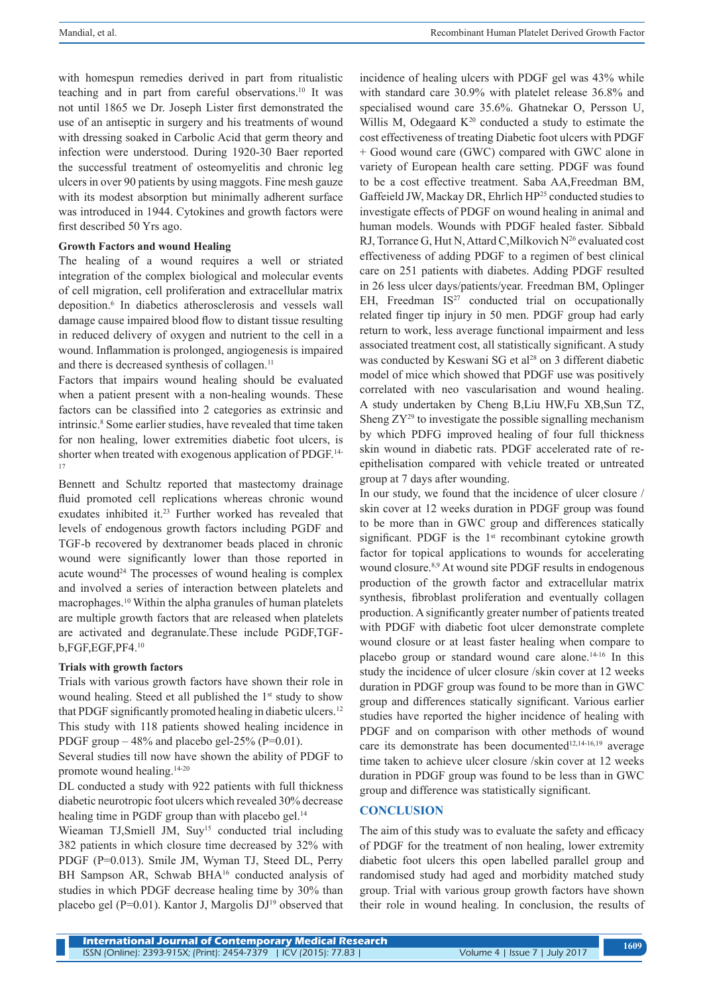with homespun remedies derived in part from ritualistic teaching and in part from careful observations.10 It was not until 1865 we Dr. Joseph Lister first demonstrated the use of an antiseptic in surgery and his treatments of wound with dressing soaked in Carbolic Acid that germ theory and infection were understood. During 1920-30 Baer reported the successful treatment of osteomyelitis and chronic leg ulcers in over 90 patients by using maggots. Fine mesh gauze with its modest absorption but minimally adherent surface was introduced in 1944. Cytokines and growth factors were first described 50 Yrs ago.

## **Growth Factors and wound Healing**

The healing of a wound requires a well or striated integration of the complex biological and molecular events of cell migration, cell proliferation and extracellular matrix deposition.6 In diabetics atherosclerosis and vessels wall damage cause impaired blood flow to distant tissue resulting in reduced delivery of oxygen and nutrient to the cell in a wound. Inflammation is prolonged, angiogenesis is impaired and there is decreased synthesis of collagen.<sup>11</sup>

Factors that impairs wound healing should be evaluated when a patient present with a non-healing wounds. These factors can be classified into 2 categories as extrinsic and intrinsic.8 Some earlier studies, have revealed that time taken for non healing, lower extremities diabetic foot ulcers, is shorter when treated with exogenous application of PDGF.<sup>14-</sup> 17

Bennett and Schultz reported that mastectomy drainage fluid promoted cell replications whereas chronic wound exudates inhibited it. 23 Further worked has revealed that levels of endogenous growth factors including PGDF and TGF-b recovered by dextranomer beads placed in chronic wound were significantly lower than those reported in acute wound<sup>24</sup> The processes of wound healing is complex and involved a series of interaction between platelets and macrophages.10 Within the alpha granules of human platelets are multiple growth factors that are released when platelets are activated and degranulate.These include PGDF,TGFb,FGF,EGF,PF4.<sup>10</sup>

#### **Trials with growth factors**

Trials with various growth factors have shown their role in wound healing. Steed et all published the 1<sup>st</sup> study to show that PDGF significantly promoted healing in diabetic ulcers.<sup>12</sup> This study with 118 patients showed healing incidence in PDGF group  $-48\%$  and placebo gel-25% (P=0.01).

Several studies till now have shown the ability of PDGF to promote wound healing.14-<sup>20</sup>

DL conducted a study with 922 patients with full thickness diabetic neurotropic foot ulcers which revealed 30% decrease healing time in PGDF group than with placebo gel.<sup>14</sup>

Wieaman TJ,Smiell JM, Suy<sup>15</sup> conducted trial including 382 patients in which closure time decreased by 32% with PDGF (P=0.013). Smile JM, Wyman TJ, Steed DL, Perry BH Sampson AR, Schwab BHA<sup>16</sup> conducted analysis of studies in which PDGF decrease healing time by 30% than placebo gel (P=0.01). Kantor J, Margolis DJ<sup>19</sup> observed that

incidence of healing ulcers with PDGF gel was 43% while with standard care 30.9% with platelet release 36.8% and specialised wound care 35.6%. Ghatnekar O, Persson U, Willis M, Odegaard  $K^{20}$  conducted a study to estimate the cost effectiveness of treating Diabetic foot ulcers with PDGF + Good wound care (GWC) compared with GWC alone in variety of European health care setting. PDGF was found to be a cost effective treatment. Saba AA,Freedman BM, Gaffeield JW, Mackay DR, Ehrlich HP<sup>25</sup> conducted studies to investigate effects of PDGF on wound healing in animal and human models. Wounds with PDGF healed faster. Sibbald RJ, Torrance G, Hut N, Attard C, Milkovich  $N^{26}$  evaluated cost effectiveness of adding PDGF to a regimen of best clinical care on 251 patients with diabetes. Adding PDGF resulted in 26 less ulcer days/patients/year. Freedman BM, Oplinger EH, Freedman  $IS^{27}$  conducted trial on occupationally related finger tip injury in 50 men. PDGF group had early return to work, less average functional impairment and less associated treatment cost, all statistically significant. A study was conducted by Keswani SG et al<sup>28</sup> on 3 different diabetic model of mice which showed that PDGF use was positively correlated with neo vascularisation and wound healing. A study undertaken by Cheng B,Liu HW,Fu XB,Sun TZ, Sheng ZY29 to investigate the possible signalling mechanism by which PDFG improved healing of four full thickness skin wound in diabetic rats. PDGF accelerated rate of reepithelisation compared with vehicle treated or untreated group at 7 days after wounding.

In our study, we found that the incidence of ulcer closure / skin cover at 12 weeks duration in PDGF group was found to be more than in GWC group and differences statically significant. PDGF is the  $1<sup>st</sup>$  recombinant cytokine growth factor for topical applications to wounds for accelerating wound closure.<sup>8,9</sup> At wound site PDGF results in endogenous production of the growth factor and extracellular matrix synthesis, fibroblast proliferation and eventually collagen production. A significantly greater number of patients treated with PDGF with diabetic foot ulcer demonstrate complete wound closure or at least faster healing when compare to placebo group or standard wound care alone.14-16 In this study the incidence of ulcer closure /skin cover at 12 weeks duration in PDGF group was found to be more than in GWC group and differences statically significant. Various earlier studies have reported the higher incidence of healing with PDGF and on comparison with other methods of wound care its demonstrate has been documented $12,14-16,19$  average time taken to achieve ulcer closure /skin cover at 12 weeks duration in PDGF group was found to be less than in GWC group and difference was statistically significant.

## **CONCLUSION**

The aim of this study was to evaluate the safety and efficacy of PDGF for the treatment of non healing, lower extremity diabetic foot ulcers this open labelled parallel group and randomised study had aged and morbidity matched study group. Trial with various group growth factors have shown their role in wound healing. In conclusion, the results of